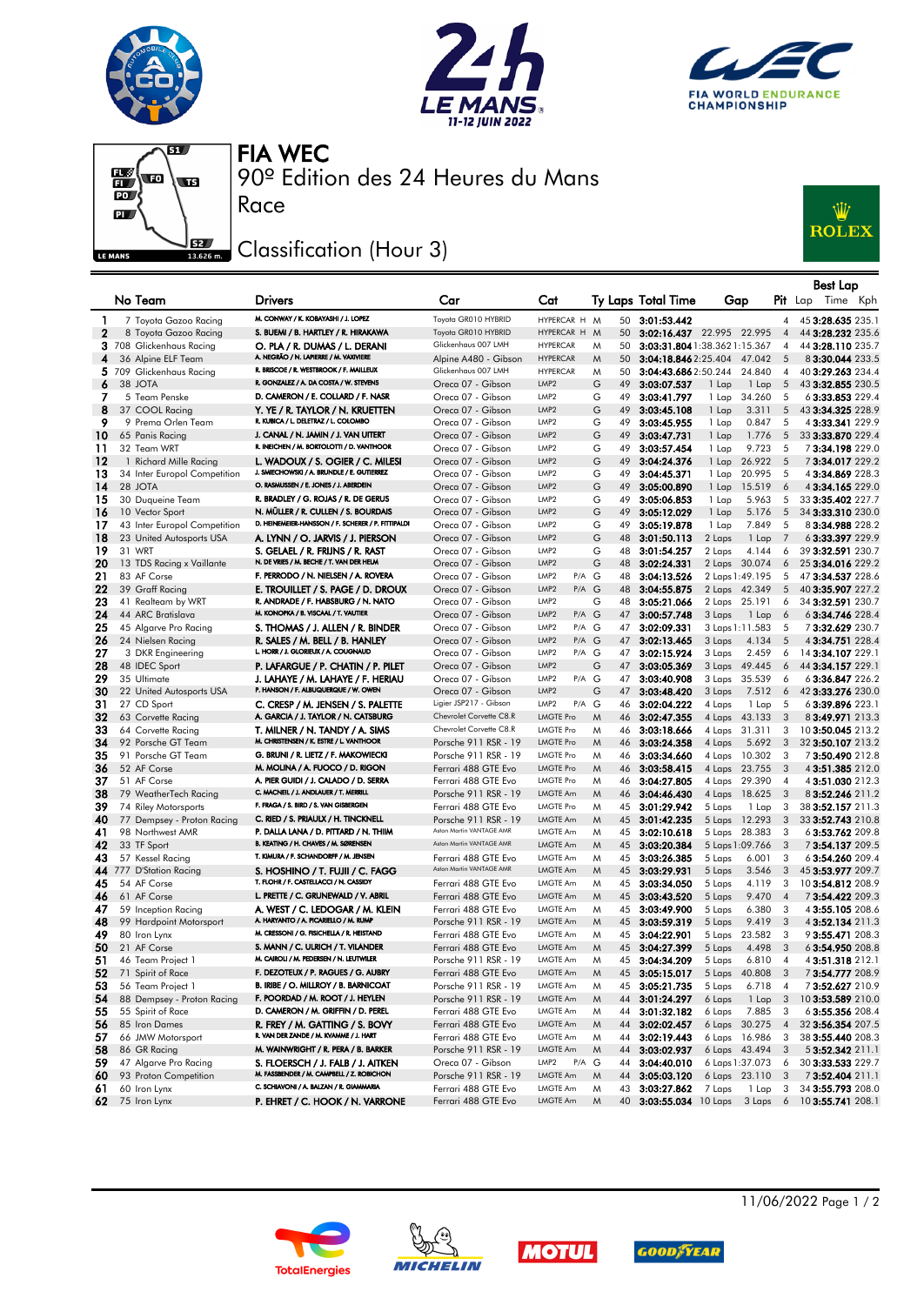







90º Edition des 24 Heures du Mans FIA WEC

## Classification (Hour 3)

Race



|              |                                                |                                                                                     |                                                 |                                               |        |    |                                                                 |                                      |                |                         |            | Best Lap                               |  |
|--------------|------------------------------------------------|-------------------------------------------------------------------------------------|-------------------------------------------------|-----------------------------------------------|--------|----|-----------------------------------------------------------------|--------------------------------------|----------------|-------------------------|------------|----------------------------------------|--|
|              | No Team                                        | <b>Drivers</b>                                                                      | Car                                             | Cat                                           |        |    | Ty Laps Total Time                                              | Gap                                  |                |                         | $P$ it Lap | Time Kph                               |  |
| $\mathbf{1}$ | 7 Toyota Gazoo Racing                          | M. CONWAY / K. KOBAYASHI / J. LOPEZ                                                 | Toyota GR010 HYBRID                             | HYPERCAR H M                                  |        |    | 50 3:01:53.442                                                  |                                      |                | $\overline{4}$          |            | 45 3:28.635 235.1                      |  |
| $\mathbf{2}$ | 8 Toyota Gazoo Racing                          | S. BUEMI / B. HARTLEY / R. HIRAKAWA                                                 | Toyota GR010 HYBRID<br>Glickenhaus 007 LMH      | HYPERCAR H M                                  |        |    | 50 3:02:16.437 22.995 22.995                                    |                                      |                | $\overline{4}$          |            | 44 3:28.232 235.6                      |  |
| 4            | 3 708 Glickenhaus Racing<br>36 Alpine ELF Team | O. PLA / R. DUMAS / L. DERANI<br>A. NEGRÃO / N. LAPIERRE / M. VAXIVIERE             | Alpine A480 - Gibson                            | <b>HYPERCAR</b><br><b>HYPERCAR</b>            | M<br>M | 50 | 3:03:31.804 1:38.362 1:15.367<br>50 3:04:18.846 2:25.404 47.042 |                                      |                | $\overline{4}$<br>5     |            | 44 3:28.110 235.7<br>83:30.044 233.5   |  |
|              | 5 709 Glickenhaus Racing                       | R. BRISCOE / R. WESTBROOK / F. MAILLEUX                                             | Glickenhaus 007 LMH                             | <b>HYPERCAR</b>                               | M      | 50 | 3:04:43.6862:50.244                                             |                                      | 24.840         | $\overline{4}$          |            | 40 3:29.263 234.4                      |  |
| 6            | 38 JOTA                                        | R. GONZALEZ / A. DA COSTA / W. STEVENS                                              | Oreca 07 - Gibson                               | LMP <sub>2</sub>                              | G      | 49 | 3:03:07.537                                                     | 1 Lap                                | 1 Lap          | 5                       |            | 43 3:32.855 230.5                      |  |
| 7            | 5 Team Penske                                  | D. CAMERON / E. COLLARD / F. NASR                                                   | Oreca 07 - Gibson                               | LMP <sub>2</sub>                              | G      |    | 49 3:03:41.797                                                  | 1 Lap                                | 34.260         | 5                       |            | 6 3:33.853 229.4                       |  |
| 8            | 37 COOL Racing                                 | Y. YE / R. TAYLOR / N. KRUETTEN                                                     | Oreca 07 - Gibson                               | LMP <sub>2</sub>                              | G      | 49 | 3:03:45.108                                                     | 1 Lap                                | 3.311          | 5                       |            | 43 3:34.325 228.9                      |  |
| 9            | 9 Prema Orlen Team                             | R. KUBICA / L. DELETRAZ / L. COLOMBO                                                | Oreca 07 - Gibson                               | LMP <sub>2</sub>                              | G      | 49 | 3:03:45.955                                                     | 1 Lap                                | 0.847          | 5                       |            | 4 3:33.341 229.9                       |  |
| 10           | 65 Panis Racing                                | J. CANAL / N. JAMIN / J. VAN UITERT                                                 | Oreca 07 - Gibson                               | LMP <sub>2</sub>                              | G      |    | 49 3:03:47.731                                                  | 1 Lap                                | 1.776          | 5                       |            | 33 3:33.870 229.4                      |  |
| 11           | 32 Team WRT                                    | R. INEICHEN / M. BORTOLOTTI / D. VANTHOOR                                           | Oreca 07 - Gibson                               | LMP <sub>2</sub>                              | G      | 49 | 3:03:57.454                                                     | 1 Lap                                | 9.723          | 5                       |            | 73:34.198229.0                         |  |
| 12           | 1 Richard Mille Racing                         | L. WADOUX / S. OGIER / C. MILESI                                                    | Oreca 07 - Gibson                               | LMP <sub>2</sub>                              | G      |    | 49 3:04:24.376                                                  | 1 Lap                                | 26.922         | 5                       |            | 73:34.017 229.2                        |  |
| 13           | 34 Inter Europol Competition                   | J. SMIECHOWSKI / A. BRUNDLE / E. GUTIERREZ<br>O. RASMUSSEN / E. JONES / J. ABERDEIN | Oreca 07 - Gibson                               | LMP <sub>2</sub>                              | G      | 49 | 3:04:45.371                                                     | 1 Lap                                | 20.995         | - 5                     |            | 43:34.869 228.3                        |  |
| 14           | 28 JOTA                                        | R. BRADLEY / G. ROJAS / R. DE GERUS                                                 | Oreca 07 - Gibson                               | LMP <sub>2</sub>                              | G      |    | 49 3:05:00.890                                                  | 1 Lap                                | 15.519         | 6                       |            | 4 3:34.165 229.0                       |  |
| 15<br>16     | 30 Duqueine Team<br>10 Vector Sport            | N. MÜLLER / R. CULLEN / S. BOURDAIS                                                 | Oreca 07 - Gibson<br>Oreca 07 - Gibson          | LMP <sub>2</sub><br>LMP <sub>2</sub>          | G<br>G | 49 | 49 3:05:06.853<br>3:05:12.029                                   | 1 Lap<br>1 Lap                       | 5.963<br>5.176 | 5<br>5                  |            | 33 3:35.402 227.7<br>34 3:33.310 230.0 |  |
| 17           | 43 Inter Europol Competition                   | D. HEINEMEIER-HANSSON / F. SCHERER / P. FITTIPALDI                                  | Oreca 07 - Gibson                               | LMP <sub>2</sub>                              | G      | 49 | 3:05:19.878                                                     | 1 Lap                                | 7.849          | 5                       |            | 83:34.988 228.2                        |  |
| 18           | 23 United Autosports USA                       | A. LYNN / O. JARVIS / J. PIERSON                                                    | Oreca 07 - Gibson                               | LMP <sub>2</sub>                              | G      |    | 48 3:01:50.113                                                  | 2 Laps                               | 1 Lap          | $\overline{7}$          |            | 63:33.397 229.9                        |  |
| 19           | 31 WRT                                         | S. GELAEL / R. FRIJNS / R. RAST                                                     | Oreca 07 - Gibson                               | LMP <sub>2</sub>                              | G      | 48 | 3:01:54.257                                                     | 2 Laps                               | 4.144          | 6                       |            | 39 3:32.591 230.7                      |  |
| 20           | 13 TDS Racing x Vaillante                      | N. DE VRIES / M. BECHE / T. VAN DER HELM                                            | Oreca 07 - Gibson                               | LMP <sub>2</sub>                              | G      |    | 48 3:02:24.331                                                  | 2 Laps 30.074                        |                | 6                       |            | 25 3:34.016 229.2                      |  |
| 21           | 83 AF Corse                                    | F. PERRODO / N. NIELSEN / A. ROVERA                                                 | Oreca 07 - Gibson                               | P/A G<br>LMP2                                 |        | 48 | 3:04:13.526                                                     | 2 Laps 1:49.195                      |                | 5                       |            | 47 3:34.537 228.6                      |  |
| 22           | 39 Graff Racing                                | E. TROUILLET / S. PAGE / D. DROUX                                                   | Oreca 07 - Gibson                               | LMP <sub>2</sub><br>P/A G                     |        |    | 48 3:04:55.875                                                  | 2 Laps 42.349                        |                | 5                       |            | 40 3:35.907 227.2                      |  |
| 23           | 41 Realteam by WRT                             | R. ANDRADE / F. HABSBURG / N. NATO                                                  | Oreca 07 - Gibson                               | LMP <sub>2</sub>                              | G      |    | 48 3:05:21.066                                                  | 2 Laps 25.191                        |                | 6                       |            | 34 3:32.591 230.7                      |  |
| 24           | 44 ARC Bratislava                              | M. KONOPKA / B. VISCAAL / T. VAUTIER                                                | Oreca 07 - Gibson                               | LMP <sub>2</sub><br>P/A G                     |        |    | 47 3:00:57.748                                                  | 3 Laps                               | 1 Lap          | 6                       |            | 6 3:34.746 228.4                       |  |
| 25           | 45 Algarve Pro Racing                          | S. THOMAS / J. ALLEN / R. BINDER                                                    | Oreca 07 - Gibson                               | P/A G<br>LMP <sub>2</sub>                     |        |    | 47 3:02:09.331                                                  | 3 Laps 1:11.583                      |                | 5                       |            | 73:32.629 230.7                        |  |
| 26           | 24 Nielsen Racing                              | R. SALES / M. BELL / B. HANLEY<br>L. HORR / J. GLORIEUX / A. COUGNAUD               | Oreca 07 - Gibson                               | LMP <sub>2</sub><br>P/A G                     |        |    | 47 3:02:13.465                                                  | 3 Laps                               | 4.134          | 5                       |            | 4 3:34.751 228.4                       |  |
| 27           | 3 DKR Engineering                              |                                                                                     | Oreca 07 - Gibson                               | P/A G<br>LMP <sub>2</sub>                     |        |    | 47 3:02:15.924                                                  | 3 Laps                               | 2.459          | 6                       |            | 14 3:34.107 229.1                      |  |
| 28           | 48 IDEC Sport                                  | P. LAFARGUE / P. CHATIN / P. PILET                                                  | Oreca 07 - Gibson                               | LMP <sub>2</sub>                              | G      |    | 47 3:03:05.369                                                  | 3 Laps 49.445                        |                | 6                       |            | 44 3:34.157 229.1                      |  |
| 29<br>30     | 35 Ultimate                                    | J. LAHAYE / M. LAHAYE / F. HERIAU<br>P. HANSON / F. ALBUQUERQUE / W. OWEN           | Oreca 07 - Gibson                               | P/A G<br>LMP <sub>2</sub><br>LMP <sub>2</sub> |        |    | 47 3:03:40.908                                                  | 3 Laps 35.539                        |                | 6                       |            | 63:36.847 226.2                        |  |
| 31           | 22 United Autosports USA<br>27 CD Sport        | C. CRESP / M. JENSEN / S. PALETTE                                                   | Oreca 07 - Gibson<br>Ligier JSP217 - Gibson     | LMP <sub>2</sub><br>P/A G                     | G      |    | 47 3:03:48.420<br>46 3:02:04.222                                | 3 Laps<br>4 Laps                     | 7.512<br>1 Lap | 6<br>5                  |            | 42 3:33.276 230.0<br>63:39.896 223.1   |  |
| 32           | 63 Corvette Racing                             | A. GARCIA / J. TAYLOR / N. CATSBURG                                                 | Chevrolet Corvette C8.R                         | <b>LMGTE Pro</b>                              | M      |    | 46 3:02:47.355                                                  | 4 Laps 43.133                        |                | 3                       |            | 83:49.971 213.3                        |  |
| 33           | 64 Corvette Racing                             | T. MILNER / N. TANDY / A. SIMS                                                      | Chevrolet Corvette C8.R                         | LMGTE Pro                                     | M      |    | 46 3:03:18.666                                                  | 4 Laps 31.311                        |                | 3                       |            | 10 3:50.045 213.2                      |  |
| 34           | 92 Porsche GT Team                             | M. CHRISTENSEN / K. ESTRE / L. VANTHOOR                                             | Porsche 911 RSR - 19                            | <b>LMGTE Pro</b>                              | M      |    | 46 3:03:24.358                                                  | 4 Laps                               | 5.692          | $\overline{\mathbf{3}}$ |            | 32 3:50.107 213.2                      |  |
| 35           | 91 Porsche GT Team                             | G. BRUNI / R. LIETZ / F. MAKOWIECKI                                                 | Porsche 911 RSR - 19                            | LMGTE Pro                                     | M      |    | 46 3:03:34.660                                                  | 4 Laps 10.302                        |                | $_{3}$                  |            | 73:50.490212.8                         |  |
| 36           | 52 AF Corse                                    | M. MOLINA / A. FUOCO / D. RIGON                                                     | Ferrari 488 GTE Evo                             | <b>LMGTE Pro</b>                              | M      |    | 46 3:03:58.415                                                  | 4 Laps 23.755                        |                | $\overline{\mathbf{3}}$ |            | 4 3:51.385 212.0                       |  |
| 37           | 51 AF Corse                                    | A. PIER GUIDI / J. CALADO / D. SERRA                                                | Ferrari 488 GTE Evo                             | LMGTE Pro                                     | M      |    | 46 3:04:27.805                                                  | 4 Laps 29.390                        |                | $\overline{4}$          |            | 43:51.030 212.3                        |  |
| 38           | 79 WeatherTech Racing                          | C. MACNEIL / J. ANDLAUER / T. MERRILL                                               | Porsche 911 RSR - 19                            | LMGTE Am                                      | M      |    | 46 3:04:46.430                                                  | 4 Laps 18.625                        |                | 3                       |            | 8 3:52.246 211.2                       |  |
| 39           | 74 Riley Motorsports                           | F. FRAGA / S. BIRD / S. VAN GISBERGEN                                               | Ferrari 488 GTE Evo                             | <b>LMGTE Pro</b>                              | M      |    | 45 3:01:29.942                                                  | 5 Laps                               | 1 Lap          | 3                       |            | 38 3:52.157 211.3                      |  |
| 40           | 77 Dempsey - Proton Racing                     | C. RIED / S. PRIAULX / H. TINCKNELL                                                 | Porsche 911 RSR - 19                            | LMGTE Am                                      | M      |    | 45 3:01:42.235                                                  | 5 Laps                               | 12.293         | 3                       |            | 33 3:52.743 210.8                      |  |
| 41           | 98 Northwest AMR                               | P. DALLA LANA / D. PITTARD / N. THIM                                                | Aston Martin VANTAGE AMR                        | LMGTE Am                                      | M      |    | 45 3:02:10.618                                                  | 5 Laps 28.383                        |                | 3                       |            | 63:53.762 209.8                        |  |
| 42           | 33 TF Sport                                    | B. KEATING / H. CHAVES / M. SØRENSEN<br>T. KIMURA / F. SCHANDORFF / M. JENSEN       | Aston Martin VANTAGE AMR                        | LMGTE Am                                      | M      |    | 45 3:03:20.384                                                  | 5 Laps 1:09.766                      |                | 3                       |            | 73:54.137 209.5                        |  |
| 43           | 57 Kessel Racing<br>44 777 D'Station Racing    | S. HOSHINO / T. FUJII / C. FAGG                                                     | Ferrari 488 GTE Evo<br>Aston Martin VANTAGE AMR | LMGTE Am<br>LMGTE Am                          | M<br>M |    | 45 3:03:26.385<br>45 3:03:29.931                                | 5 Laps                               | 6.001          | 3<br>3                  |            | 63:54.260 209.4<br>45 3:53.977 209.7   |  |
| 45           | 54 AF Corse                                    | T. FLOHR / F. CASTELLACCI / N. CASSIDY                                              | Ferrari 488 GTE Evo                             | LMGTE Am                                      | M      |    | 45 3:03:34.050                                                  | 5 Laps<br>5 Laps                     | 3.546<br>4.119 | 3                       |            | 103:54.812 208.9                       |  |
| 46           | 61 AF Corse                                    | L. PRETTE / C. GRUNEWALD / V. ABRIL                                                 | Ferrari 488 GTE Evo                             | LMGTE Am                                      | M      |    | 45 3:03:43.520                                                  | 5 Laps                               | 9.470          | $\overline{4}$          |            | 73:54.422 209.3                        |  |
| 47           | 59 Inception Racing                            | A. WEST / C. LEDOGAR / M. KLEIN                                                     | Ferrari 488 GTE Evo                             | LMGTE Am                                      | M      |    | 45 3:03:49.900                                                  | 5 Laps                               | 6.380          | 3                       |            | 43:55.105 208.6                        |  |
| 48           | 99 Hardpoint Motorsport                        | A. HARYANTO / A. PICARIELLO / M. RUMP                                               | Porsche 911 RSR - 19                            | LMGTE Am                                      | M      |    | 45 3:03:59.319                                                  | 5 Laps                               | 9.419          | 3                       |            | 4 3:52.134 211.3                       |  |
| 49           | 80 Iron Lynx                                   | M. CRESSONI / G. FISICHELLA / R. HEISTAND                                           | Ferrari 488 GTE Evo                             | LMGTE Am                                      | M      |    | 45 3:04:22.901                                                  | 5 Laps                               | 23.582         | 3                       |            | 9 3:55.471 208.3                       |  |
| 50           | 21 AF Corse                                    | S. MANN / C. ULRICH / T. VILANDER                                                   | Ferrari 488 GTE Evo                             | <b>LMGTE Am</b>                               | M      |    | 45 3:04:27.399                                                  | 5 Laps                               | 4.498          | 3                       |            | 63:54.950 208.8                        |  |
| 51           | 46 Team Project 1                              | M. CAIROLI / M. PEDERSEN / N. LEUTWILER                                             | Porsche 911 RSR - 19                            | LMGTE Am                                      | M      |    | 45 3:04:34.209 5 Laps                                           |                                      | 6.810 4        |                         |            | 43:51.318 212.1                        |  |
| 52           | 71 Spirit of Race                              | F. DEZOTEUX / P. RAGUES / G. AUBRY                                                  | Ferrari 488 GTE Evo                             | LMGTE Am                                      | M      |    | 45 3:05:15.017                                                  | 5 Laps 40.808 3                      |                |                         |            | 73:54.777 208.9                        |  |
| 53           | 56 Team Project 1                              | B. IRIBE / O. MILLROY / B. BARNICOAT                                                | Porsche 911 RSR - 19                            | LMGTE Am                                      | M      |    | 45 3:05:21.735                                                  | 5 Laps                               | 6.718          | $\overline{4}$          |            | 73:52.627 210.9                        |  |
| 54           | 88 Dempsey - Proton Racing                     | F. POORDAD / M. ROOT / J. HEYLEN                                                    | Porsche 911 RSR - 19                            | LMGTE Am                                      | M      |    | 44 3:01:24.297                                                  | 6 Laps                               | $1$ Lap $3$    |                         |            | 103:53.589 210.0                       |  |
| 55           | 55 Spirit of Race                              | D. CAMERON / M. GRIFFIN / D. PEREL                                                  | Ferrari 488 GTE Evo                             | LMGTE Am                                      | M      |    | 44 3:01:32.182                                                  | 6 Laps                               | 7.885          | 3                       |            | 6 3:55.356 208.4                       |  |
| 56           | 85 Iron Dames                                  | R. FREY / M. GATTING / S. BOVY<br>R. VAN DER ZANDE / M. KVAMME / J. HART            | Ferrari 488 GTE Evo                             | LMGTE Am                                      | M      |    | 44 3:02:02.457                                                  | 6 Laps 30.275                        |                | $\overline{4}$          |            | 32 3:56.354 207.5                      |  |
| 57           | 66 JMW Motorsport                              |                                                                                     | Ferrari 488 GTE Evo                             | LMGTE Am                                      | M      |    | 44 3:02:19.443                                                  | 6 Laps 16.986                        |                | 3                       |            | 38 3:55.440 208.3                      |  |
| 58           | 86 GR Racing                                   | M. WAINWRIGHT / R. PERA / B. BARKER                                                 | Porsche 911 RSR - 19                            | LMGTE Am<br>LMP2                              | M      |    | 44 3:03:02.937                                                  | 6 Laps 43.494 3                      |                |                         |            | 5 3:52.342 211.1                       |  |
| 59<br>60     | 47 Algarve Pro Racing<br>93 Proton Competition | S. FLOERSCH / J. FALB / J. AITKEN<br>M. FASSBENDER / M. CAMPBELL / Z. ROBICHON      | Oreca 07 - Gibson<br>Porsche 911 RSR - 19       | P/A G<br>LMGTE Am                             | M      |    | 44 3:04:40.010<br>44 3:05:03.120                                | 6 Laps 1:37.073 6<br>6 Laps 23.110 3 |                |                         |            | 30 3:33.533 229.7<br>73:52.404 211.1   |  |
| 61           | 60 Iron Lynx                                   | C. SCHIAVONI / A. BALZAN / R. GIAMMARIA                                             | Ferrari 488 GTE Evo                             | LMGTE Am                                      | M      |    | 43 3:03:27.862                                                  | 7 Laps                               | 1 Lap          | 3                       |            | 34 3:55.793 208.0                      |  |
| 62           | 75 Iron Lynx                                   | P. EHRET / C. HOOK / N. VARRONE                                                     | Ferrari 488 GTE Evo                             | LMGTE Am                                      | M      |    | 40 3:03:55.034 10 Laps 3 Laps 6                                 |                                      |                |                         |            | 10 3:55.741 208.1                      |  |
|              |                                                |                                                                                     |                                                 |                                               |        |    |                                                                 |                                      |                |                         |            |                                        |  |